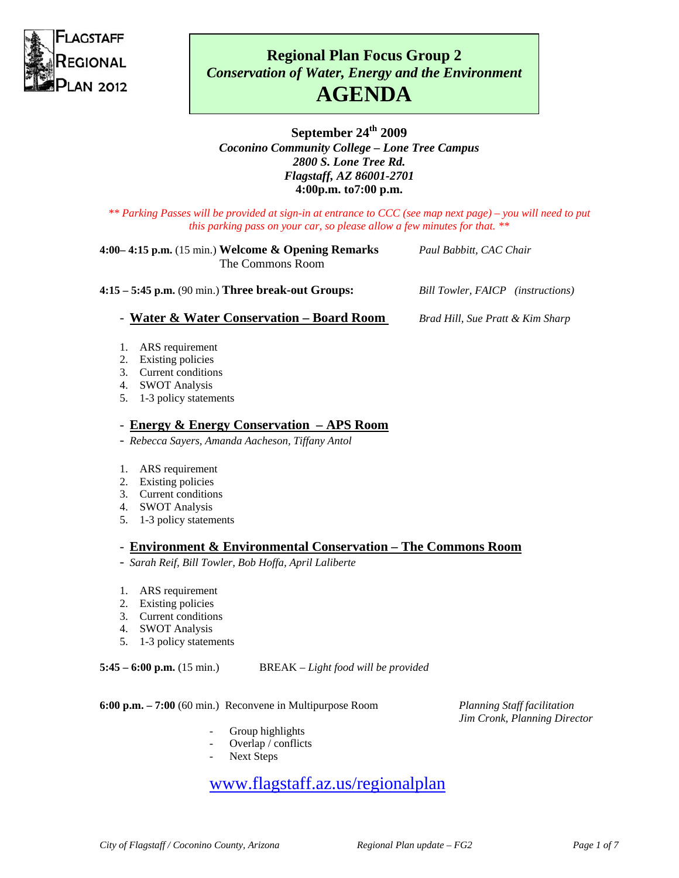

# **Regional Plan Focus Group 2**  *Conservation of Water, Energy and the Environment*  **AGENDA**

## **September 24th 2009**  *Coconino Community College – Lone Tree Campus 2800 S. Lone Tree Rd. Flagstaff, AZ 86001-2701*  **4:00p.m. to7:00 p.m.**

*\*\* Parking Passes will be provided at sign-in at entrance to CCC (see map next page) – you will need to put this parking pass on your car, so please allow a few minutes for that. \*\** 

#### **4:00– 4:15 p.m.** (15 min.) **Welcome & Opening Remarks** *Paul Babbitt, CAC Chair* The Commons Room

**4:15 – 5:45 p.m.** (90 min.) **Three break-out Groups:** *Bill Towler, FAICP**(instructions)*

- **Water & Water Conservation – Board Room** *Brad Hill, Sue Pratt & Kim Sharp*

- 1. ARS requirement
- 2. Existing policies
- 3. Current conditions
- 4. SWOT Analysis
- 5. 1-3 policy statements

## - **Energy & Energy Conservation – APS Room**

- *Rebecca Sayers, Amanda Aacheson, Tiffany Antol*
- 1. ARS requirement
- 2. Existing policies
- 3. Current conditions
- 4. SWOT Analysis
- 5. 1-3 policy statements

## - **Environment & Environmental Conservation – The Commons Room**

- *Sarah Reif, Bill Towler, Bob Hoffa, April Laliberte*
- 1. ARS requirement
- 2. Existing policies
- 3. Current conditions
- 4. SWOT Analysis
- 5. 1-3 policy statements

**5:45 – 6:00 p.m.** (15 min.) BREAK – *Light food will be provided*

**6:00 p.m. – 7:00** (60 min.) Reconvene in Multipurpose Room *Planning Staff facilitation*

- Group highlights
- Overlap / conflicts
- Next Steps

# www.flagstaff.az.us/regionalplan

*Jim Cronk, Planning Director*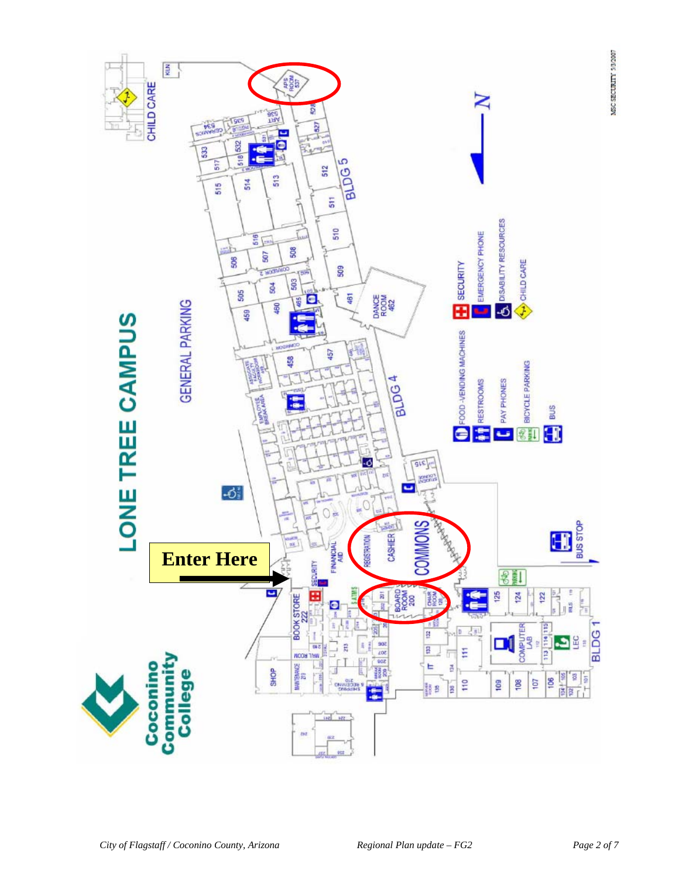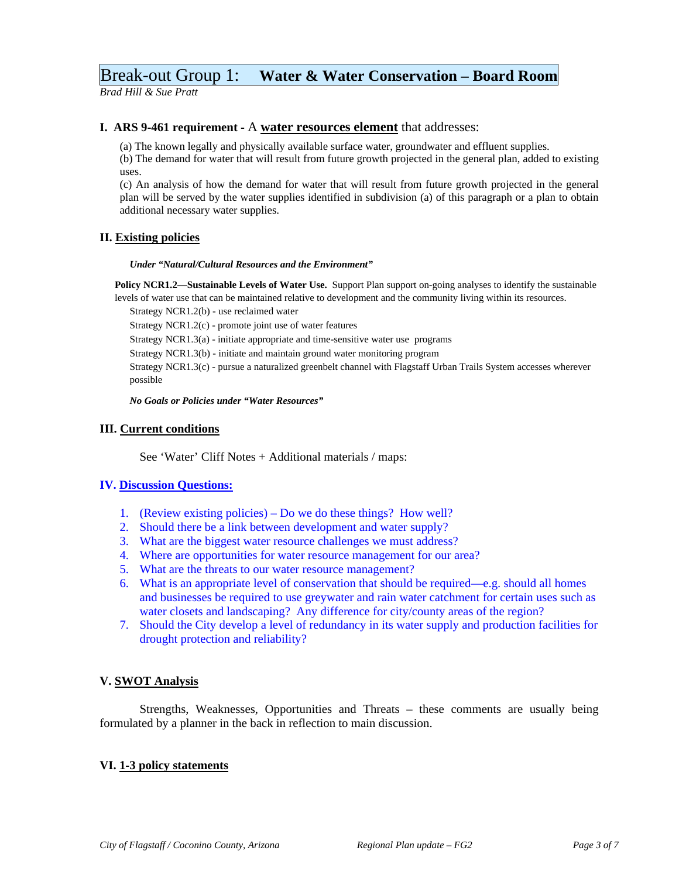## Break-out Group 1: **Water & Water Conservation – Board Room**

*Brad Hill & Sue Pratt*

#### **I. ARS 9-461 requirement -** A **water resources element** that addresses:

(a) The known legally and physically available surface water, groundwater and effluent supplies.

(b) The demand for water that will result from future growth projected in the general plan, added to existing uses.

(c) An analysis of how the demand for water that will result from future growth projected in the general plan will be served by the water supplies identified in subdivision (a) of this paragraph or a plan to obtain additional necessary water supplies.

### **II. Existing policies**

*Under "Natural/Cultural Resources and the Environment"*

**Policy NCR1.2—Sustainable Levels of Water Use.** Support Plan support on-going analyses to identify the sustainable levels of water use that can be maintained relative to development and the community living within its resources.

Strategy NCR1.2(b) - use reclaimed water

Strategy NCR1.2(c) - promote joint use of water features

Strategy NCR1.3(a) - initiate appropriate and time-sensitive water use programs

Strategy NCR1.3(b) - initiate and maintain ground water monitoring program

 Strategy NCR1.3(c) - pursue a naturalized greenbelt channel with Flagstaff Urban Trails System accesses wherever possible

 *No Goals or Policies under "Water Resources"*

### **III. Current conditions**

See 'Water' Cliff Notes + Additional materials / maps:

### **IV. Discussion Questions:**

- 1. (Review existing policies) Do we do these things? How well?
- 2. Should there be a link between development and water supply?
- 3. What are the biggest water resource challenges we must address?
- 4. Where are opportunities for water resource management for our area?
- 5. What are the threats to our water resource management?
- 6. What is an appropriate level of conservation that should be required—e.g. should all homes and businesses be required to use greywater and rain water catchment for certain uses such as water closets and landscaping? Any difference for city/county areas of the region?
- 7. Should the City develop a level of redundancy in its water supply and production facilities for drought protection and reliability?

### **V. SWOT Analysis**

 Strengths, Weaknesses, Opportunities and Threats – these comments are usually being formulated by a planner in the back in reflection to main discussion.

### **VI. 1-3 policy statements**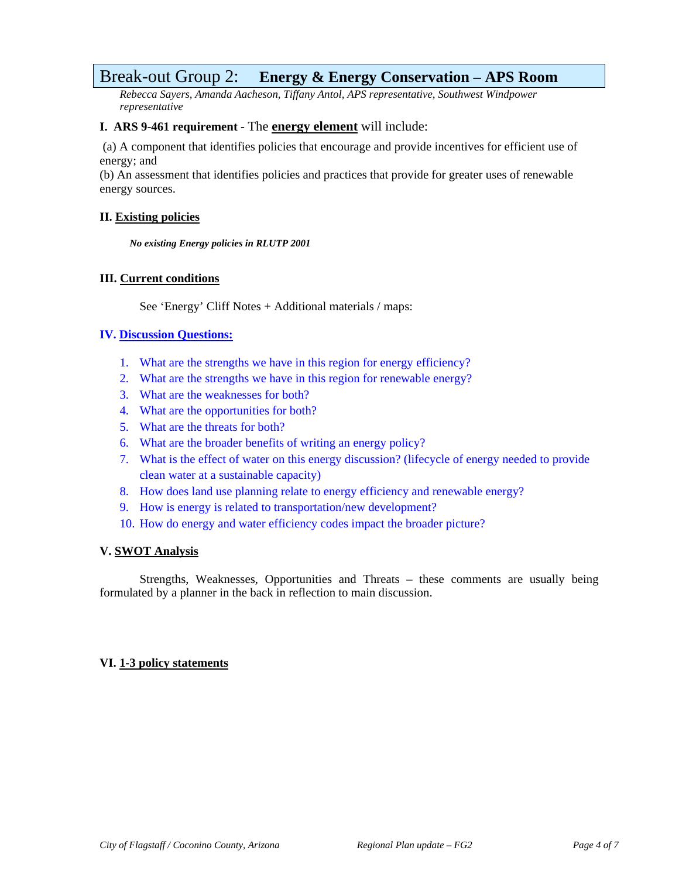## Break-out Group 2: **Energy & Energy Conservation – APS Room**

*Rebecca Sayers, Amanda Aacheson, Tiffany Antol, APS representative, Southwest Windpower representative*

## **I. ARS 9-461 requirement -** The **energy element** will include:

 (a) A component that identifies policies that encourage and provide incentives for efficient use of energy; and

(b) An assessment that identifies policies and practices that provide for greater uses of renewable energy sources.

## **II. Existing policies**

*No existing Energy policies in RLUTP 2001*

## **III. Current conditions**

See 'Energy' Cliff Notes + Additional materials / maps:

## **IV. Discussion Questions:**

- 1. What are the strengths we have in this region for energy efficiency?
- 2. What are the strengths we have in this region for renewable energy?
- 3. What are the weaknesses for both?
- 4. What are the opportunities for both?
- 5. What are the threats for both?
- 6. What are the broader benefits of writing an energy policy?
- 7. What is the effect of water on this energy discussion? (lifecycle of energy needed to provide clean water at a sustainable capacity)
- 8. How does land use planning relate to energy efficiency and renewable energy?
- 9. How is energy is related to transportation/new development?
- 10. How do energy and water efficiency codes impact the broader picture?

### **V. SWOT Analysis**

 Strengths, Weaknesses, Opportunities and Threats – these comments are usually being formulated by a planner in the back in reflection to main discussion.

## **VI. 1-3 policy statements**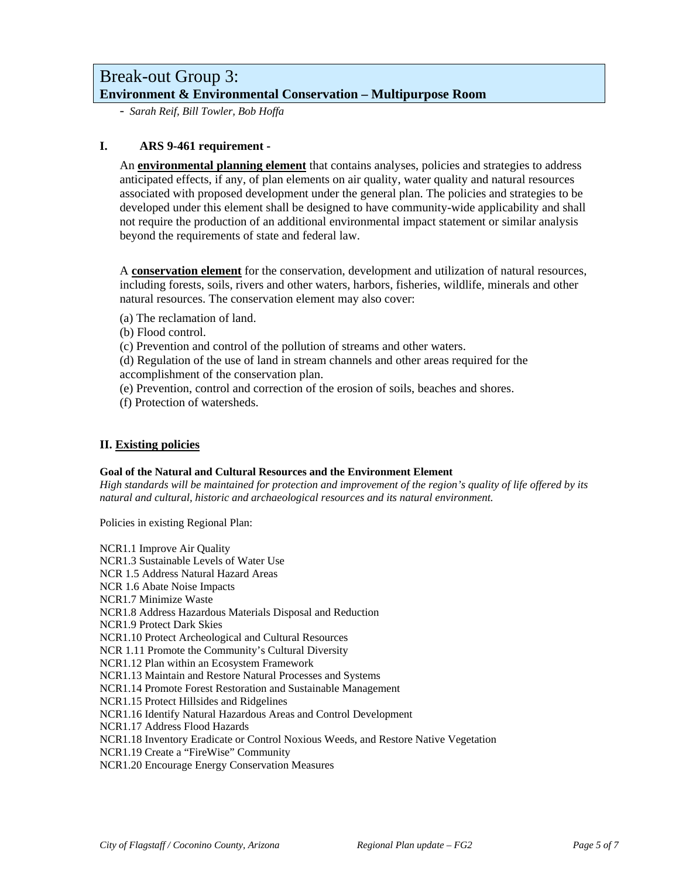## Break-out Group 3: **Environment & Environmental Conservation – Multipurpose Room**

- *Sarah Reif, Bill Towler, Bob Hoffa*

## **I. ARS 9-461 requirement -**

An **environmental planning element** that contains analyses, policies and strategies to address anticipated effects, if any, of plan elements on air quality, water quality and natural resources associated with proposed development under the general plan. The policies and strategies to be developed under this element shall be designed to have community-wide applicability and shall not require the production of an additional environmental impact statement or similar analysis beyond the requirements of state and federal law.

A **conservation element** for the conservation, development and utilization of natural resources, including forests, soils, rivers and other waters, harbors, fisheries, wildlife, minerals and other natural resources. The conservation element may also cover:

(a) The reclamation of land.

(b) Flood control.

(c) Prevention and control of the pollution of streams and other waters.

(d) Regulation of the use of land in stream channels and other areas required for the accomplishment of the conservation plan.

(e) Prevention, control and correction of the erosion of soils, beaches and shores.

(f) Protection of watersheds.

## **II. Existing policies**

### **Goal of the Natural and Cultural Resources and the Environment Element**

*High standards will be maintained for protection and improvement of the region's quality of life offered by its natural and cultural, historic and archaeological resources and its natural environment.* 

Policies in existing Regional Plan:

NCR1.1 Improve Air Quality NCR1.3 Sustainable Levels of Water Use NCR 1.5 Address Natural Hazard Areas NCR 1.6 Abate Noise Impacts NCR1.7 Minimize Waste NCR1.8 Address Hazardous Materials Disposal and Reduction NCR1.9 Protect Dark Skies NCR1.10 Protect Archeological and Cultural Resources NCR 1.11 Promote the Community's Cultural Diversity NCR1.12 Plan within an Ecosystem Framework NCR1.13 Maintain and Restore Natural Processes and Systems NCR1.14 Promote Forest Restoration and Sustainable Management NCR1.15 Protect Hillsides and Ridgelines NCR1.16 Identify Natural Hazardous Areas and Control Development NCR1.17 Address Flood Hazards NCR1.18 Inventory Eradicate or Control Noxious Weeds, and Restore Native Vegetation NCR1.19 Create a "FireWise" Community NCR1.20 Encourage Energy Conservation Measures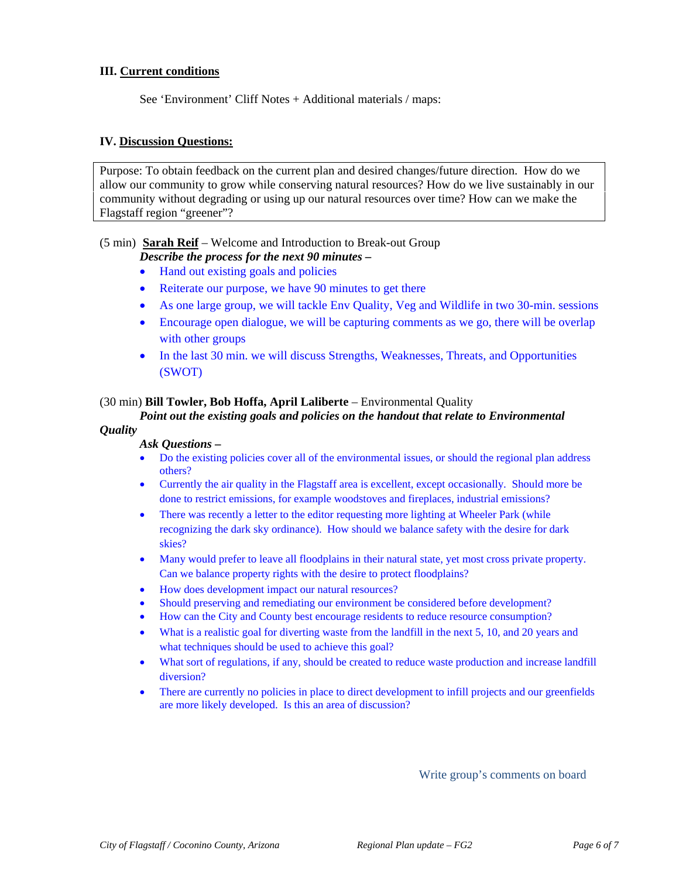## **III. Current conditions**

See 'Environment' Cliff Notes + Additional materials / maps:

#### **IV. Discussion Questions:**

Purpose: To obtain feedback on the current plan and desired changes/future direction. How do we allow our community to grow while conserving natural resources? How do we live sustainably in our community without degrading or using up our natural resources over time? How can we make the Flagstaff region "greener"?

#### (5 min) **Sarah Reif** – Welcome and Introduction to Break-out Group

## *Describe the process for the next 90 minutes –*

- Hand out existing goals and policies
- Reiterate our purpose, we have 90 minutes to get there
- As one large group, we will tackle Env Quality, Veg and Wildlife in two 30-min. sessions
- Encourage open dialogue, we will be capturing comments as we go, there will be overlap with other groups
- In the last 30 min. we will discuss Strengths, Weaknesses, Threats, and Opportunities (SWOT)

#### (30 min) **Bill Towler, Bob Hoffa, April Laliberte** – Environmental Quality

## *Point out the existing goals and policies on the handout that relate to Environmental*

#### *Quality*

#### *Ask Questions –*

- Do the existing policies cover all of the environmental issues, or should the regional plan address others?
- Currently the air quality in the Flagstaff area is excellent, except occasionally. Should more be done to restrict emissions, for example woodstoves and fireplaces, industrial emissions?
- There was recently a letter to the editor requesting more lighting at Wheeler Park (while recognizing the dark sky ordinance). How should we balance safety with the desire for dark skies?
- Many would prefer to leave all floodplains in their natural state, yet most cross private property. Can we balance property rights with the desire to protect floodplains?
- How does development impact our natural resources?
- Should preserving and remediating our environment be considered before development?
- How can the City and County best encourage residents to reduce resource consumption?
- What is a realistic goal for diverting waste from the landfill in the next 5, 10, and 20 years and what techniques should be used to achieve this goal?
- What sort of regulations, if any, should be created to reduce waste production and increase landfill diversion?
- There are currently no policies in place to direct development to infill projects and our greenfields are more likely developed. Is this an area of discussion?

Write group's comments on board